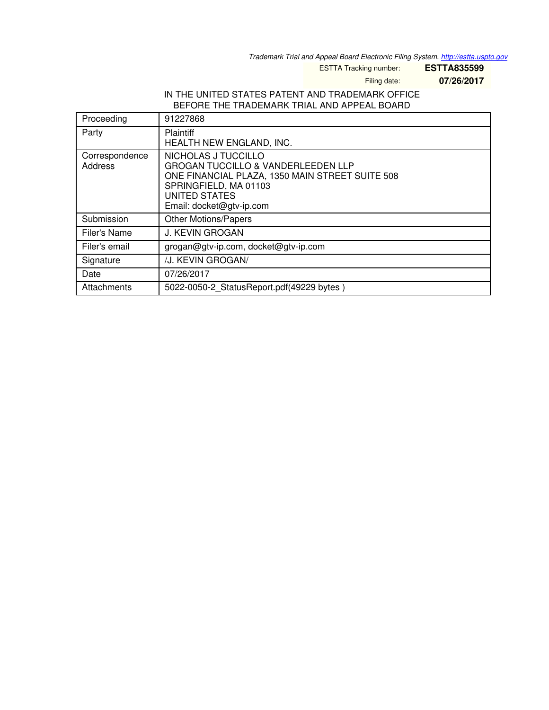*Trademark Trial and Appeal Board Electronic Filing System. <http://estta.uspto.gov>*

ESTTA Tracking number: **ESTTA835599**

Filing date: **07/26/2017**

## IN THE UNITED STATES PATENT AND TRADEMARK OFFICE BEFORE THE TRADEMARK TRIAL AND APPEAL BOARD

| Proceeding                | 91227868                                                                                                                                                                                             |
|---------------------------|------------------------------------------------------------------------------------------------------------------------------------------------------------------------------------------------------|
| Party                     | Plaintiff<br>HEALTH NEW ENGLAND, INC.                                                                                                                                                                |
| Correspondence<br>Address | NICHOLAS J TUCCILLO<br><b>GROGAN TUCCILLO &amp; VANDERLEEDEN LLP</b><br>ONE FINANCIAL PLAZA, 1350 MAIN STREET SUITE 508<br>SPRINGFIELD, MA 01103<br><b>UNITED STATES</b><br>Email: docket@gtv-ip.com |
| Submission                | <b>Other Motions/Papers</b>                                                                                                                                                                          |
| Filer's Name              | <b>J. KEVIN GROGAN</b>                                                                                                                                                                               |
| Filer's email             | grogan@gtv-ip.com, docket@gtv-ip.com                                                                                                                                                                 |
| Signature                 | /J. KEVIN GROGAN/                                                                                                                                                                                    |
| Date                      | 07/26/2017                                                                                                                                                                                           |
| Attachments               | 5022-0050-2_StatusReport.pdf(49229 bytes)                                                                                                                                                            |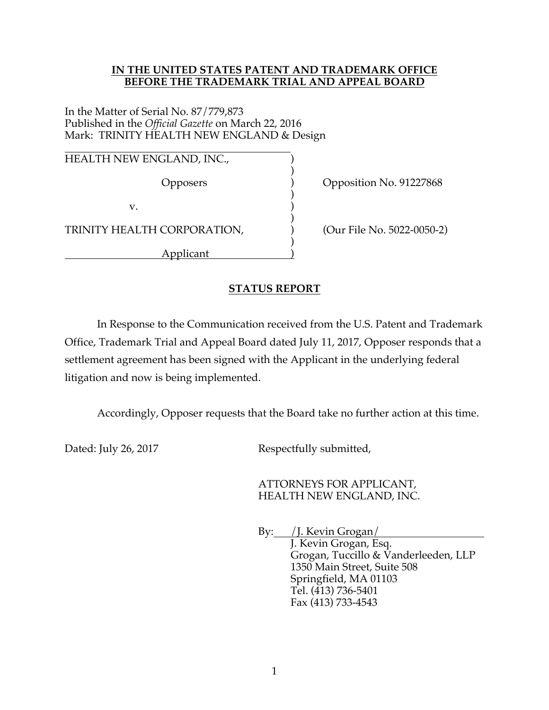## **IN THE UNITED STATES PATENT AND TRADEMARK OFFICE BEFORE THE TRADEMARK TRIAL AND APPEAL BOARD**

In the Matter of Serial No. 87/779,873 Published in the *Official Gazette* on March 22, 2016 Mark: TRINITY HEALTH NEW ENGLAND & Design

 HEALTH NEW ENGLAND, INC.,  $\qquad \qquad$ 

 $)$ 

 $)$  $\mathbf{v}$ .  $\qquad \qquad$  )

 $)$ TRINITY HEALTH CORPORATION,  $(Our File No. 5022-0050-2)$ 

 $)$ Applicant )

Opposers ) Opposition No. 91227868

## **STATUS REPORT**

 In Response to the Communication received from the U.S. Patent and Trademark Office, Trademark Trial and Appeal Board dated July 11, 2017, Opposer responds that a settlement agreement has been signed with the Applicant in the underlying federal litigation and now is being implemented.

Accordingly, Opposer requests that the Board take no further action at this time.

Dated: July 26, 2017 Respectfully submitted,

 ATTORNEYS FOR APPLICANT, HEALTH NEW ENGLAND, INC.

 By: /J. Kevin Grogan/ J. Kevin Grogan, Esq. Grogan, Tuccillo & Vanderleeden, LLP 1350 Main Street, Suite 508 Springfield, MA 01103 Tel. (413) 736-5401 Fax (413) 733-4543